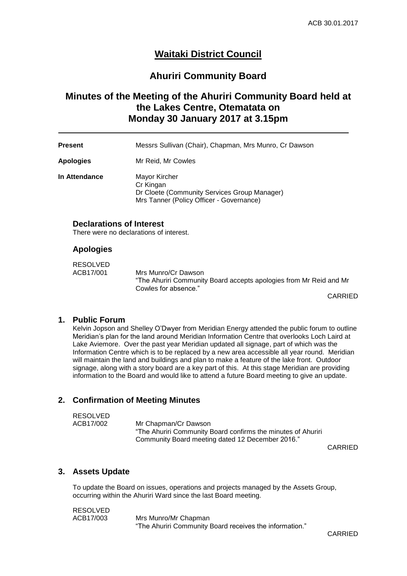# **Waitaki District Council**

# **Ahuriri Community Board**

# **Minutes of the Meeting of the Ahuriri Community Board held at the Lakes Centre, Otematata on Monday 30 January 2017 at 3.15pm**

| <b>Present</b>   | Messrs Sullivan (Chair), Chapman, Mrs Munro, Cr Dawson                     |  |
|------------------|----------------------------------------------------------------------------|--|
| <b>Apologies</b> | Mr Reid, Mr Cowles                                                         |  |
| In Attendance    | Mayor Kircher<br>Cr Kingan<br>Dr Cloete (Community Services Group Manager) |  |

Mrs Tanner (Policy Officer - Governance)

### **Declarations of Interest**

There were no declarations of interest.

#### **Apologies**

| <b>RESOLVED</b> |                                                                    |
|-----------------|--------------------------------------------------------------------|
| ACB17/001       | Mrs Munro/Cr Dawson                                                |
|                 | "The Ahuriri Community Board accepts apologies from Mr Reid and Mr |
|                 | Cowles for absence."                                               |
|                 |                                                                    |

CARRIED

#### **1. Public Forum**

Kelvin Jopson and Shelley O'Dwyer from Meridian Energy attended the public forum to outline Meridian's plan for the land around Meridian Information Centre that overlooks Loch Laird at Lake Aviemore. Over the past year Meridian updated all signage, part of which was the Information Centre which is to be replaced by a new area accessible all year round. Meridian will maintain the land and buildings and plan to make a feature of the lake front. Outdoor signage, along with a story board are a key part of this. At this stage Meridian are providing information to the Board and would like to attend a future Board meeting to give an update.

#### **2. Confirmation of Meeting Minutes**

| RESOLVED  |                                                              |
|-----------|--------------------------------------------------------------|
| ACB17/002 | Mr Chapman/Cr Dawson                                         |
|           | "The Ahuriri Community Board confirms the minutes of Ahuriri |
|           | Community Board meeting dated 12 December 2016."             |

CARRIED

#### **3. Assets Update**

To update the Board on issues, operations and projects managed by the Assets Group, occurring within the Ahuriri Ward since the last Board meeting.

RESOLVED

ACB17/003 Mrs Munro/Mr Chapman "The Ahuriri Community Board receives the information."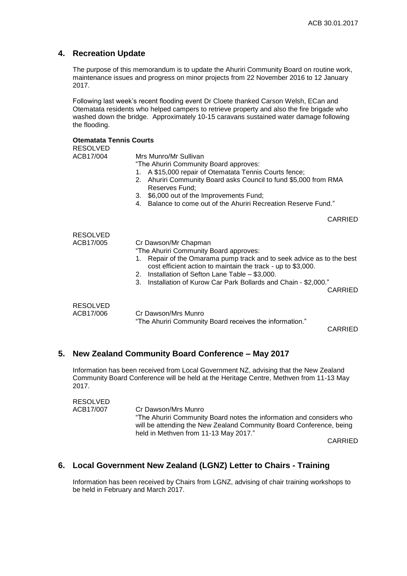### **4. Recreation Update**

The purpose of this memorandum is to update the Ahuriri Community Board on routine work, maintenance issues and progress on minor projects from 22 November 2016 to 12 January 2017.

Following last week's recent flooding event Dr Cloete thanked Carson Welsh, ECan and Otematata residents who helped campers to retrieve property and also the fire brigade who washed down the bridge. Approximately 10-15 caravans sustained water damage following the flooding.

| <b>Otematata Tennis Courts</b><br><b>RESOLVED</b> |                                                                                                                                                                                                                                                                                                                                            |                |
|---------------------------------------------------|--------------------------------------------------------------------------------------------------------------------------------------------------------------------------------------------------------------------------------------------------------------------------------------------------------------------------------------------|----------------|
| ACB17/004                                         | Mrs Munro/Mr Sullivan<br>"The Ahuriri Community Board approves:<br>A \$15,000 repair of Otematata Tennis Courts fence;<br>1.<br>Ahuriri Community Board asks Council to fund \$5,000 from RMA<br>2.<br>Reserves Fund;<br>\$6,000 out of the Improvements Fund;<br>3.<br>Balance to come out of the Ahuriri Recreation Reserve Fund."<br>4. |                |
|                                                   |                                                                                                                                                                                                                                                                                                                                            | <b>CARRIED</b> |
| <b>RESOLVED</b>                                   |                                                                                                                                                                                                                                                                                                                                            |                |
| ACB17/005                                         | Cr Dawson/Mr Chapman<br>"The Ahuriri Community Board approves:<br>Repair of the Omarama pump track and to seek advice as to the best<br>1.<br>cost efficient action to maintain the track - up to \$3,000.<br>2. Installation of Sefton Lane Table - \$3,000.<br>Installation of Kurow Car Park Bollards and Chain - \$2,000."<br>3.       | <b>CARRIED</b> |
| <b>RESOLVED</b><br>ACB17/006                      | Cr Dawson/Mrs Munro<br>"The Ahuriri Community Board receives the information."                                                                                                                                                                                                                                                             | CARRIED        |

### **5. New Zealand Community Board Conference – May 2017**

Information has been received from Local Government NZ, advising that the New Zealand Community Board Conference will be held at the Heritage Centre, Methven from 11-13 May 2017.

RESOLVED<br>ACB17/007 Cr Dawson/Mrs Munro "The Ahuriri Community Board notes the information and considers who will be attending the New Zealand Community Board Conference, being held in Methven from 11-13 May 2017."

CARRIED

### **6. Local Government New Zealand (LGNZ) Letter to Chairs - Training**

Information has been received by Chairs from LGNZ, advising of chair training workshops to be held in February and March 2017.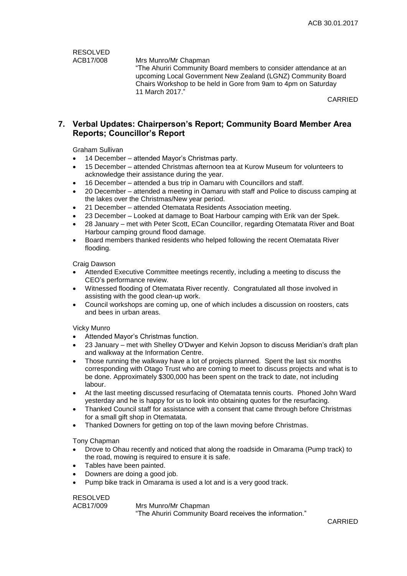RESOLVED<br>ACB17/008

Mrs Munro/Mr Chapman

"The Ahuriri Community Board members to consider attendance at an upcoming Local Government New Zealand (LGNZ) Community Board Chairs Workshop to be held in Gore from 9am to 4pm on Saturday 11 March 2017."

CARRIED

## **7. Verbal Updates: Chairperson's Report; Community Board Member Area Reports; Councillor's Report**

Graham Sullivan

- 14 December attended Mayor's Christmas party.
- 15 December attended Christmas afternoon tea at Kurow Museum for volunteers to acknowledge their assistance during the year.
- 16 December attended a bus trip in Oamaru with Councillors and staff.
- 20 December attended a meeting in Oamaru with staff and Police to discuss camping at the lakes over the Christmas/New year period.
- 21 December attended Otematata Residents Association meeting.
- 23 December Looked at damage to Boat Harbour camping with Erik van der Spek.
- 28 January met with Peter Scott, ECan Councillor, regarding Otematata River and Boat Harbour camping ground flood damage.
- Board members thanked residents who helped following the recent Otematata River flooding.

Craig Dawson

- Attended Executive Committee meetings recently, including a meeting to discuss the CEO's performance review.
- Witnessed flooding of Otematata River recently. Congratulated all those involved in assisting with the good clean-up work.
- Council workshops are coming up, one of which includes a discussion on roosters, cats and bees in urban areas.

#### Vicky Munro

- Attended Mayor's Christmas function.
- 23 January met with Shelley O'Dwyer and Kelvin Jopson to discuss Meridian's draft plan and walkway at the Information Centre.
- Those running the walkway have a lot of projects planned. Spent the last six months corresponding with Otago Trust who are coming to meet to discuss projects and what is to be done. Approximately \$300,000 has been spent on the track to date, not including labour.
- At the last meeting discussed resurfacing of Otematata tennis courts. Phoned John Ward yesterday and he is happy for us to look into obtaining quotes for the resurfacing.
- Thanked Council staff for assistance with a consent that came through before Christmas for a small gift shop in Otematata.
- Thanked Downers for getting on top of the lawn moving before Christmas.

Tony Chapman

- Drove to Ohau recently and noticed that along the roadside in Omarama (Pump track) to the road, mowing is required to ensure it is safe.
- Tables have been painted.
- Downers are doing a good job.
- Pump bike track in Omarama is used a lot and is a very good track.

RESOLVED<br>ACB17/009

Mrs Munro/Mr Chapman "The Ahuriri Community Board receives the information."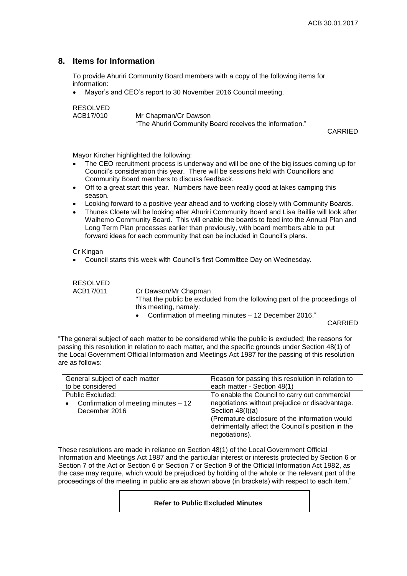## **8. Items for Information**

To provide Ahuriri Community Board members with a copy of the following items for information:

Mayor's and CEO's report to 30 November 2016 Council meeting.

RESOLVED<br>ACB17/010

Mr Chapman/Cr Dawson "The Ahuriri Community Board receives the information."

CARRIED

Mayor Kircher highlighted the following:

- The CEO recruitment process is underway and will be one of the big issues coming up for Council's consideration this year. There will be sessions held with Councillors and Community Board members to discuss feedback.
- Off to a great start this year. Numbers have been really good at lakes camping this season.
- Looking forward to a positive year ahead and to working closely with Community Boards.
- Thunes Cloete will be looking after Ahuriri Community Board and Lisa Baillie will look after Waihemo Community Board. This will enable the boards to feed into the Annual Plan and Long Term Plan processes earlier than previously, with board members able to put forward ideas for each community that can be included in Council's plans.

Cr Kingan

Council starts this week with Council's first Committee Day on Wednesday.

| RESOLVED  |                                                                            |                |
|-----------|----------------------------------------------------------------------------|----------------|
| ACB17/011 | Cr Dawson/Mr Chapman                                                       |                |
|           | "That the public be excluded from the following part of the proceedings of |                |
|           | this meeting, namely:                                                      |                |
|           | • Confirmation of meeting minutes – 12 December 2016."                     |                |
|           |                                                                            | <b>AIRBURN</b> |

CARRIED

"The general subject of each matter to be considered while the public is excluded; the reasons for passing this resolution in relation to each matter, and the specific grounds under Section 48(1) of the Local Government Official Information and Meetings Act 1987 for the passing of this resolution are as follows:

| General subject of each matter                    | Reason for passing this resolution in relation to                                                                      |  |
|---------------------------------------------------|------------------------------------------------------------------------------------------------------------------------|--|
| to be considered                                  | each matter - Section 48(1)                                                                                            |  |
| Public Excluded:                                  | To enable the Council to carry out commercial                                                                          |  |
| Confirmation of meeting minutes - 12<br>$\bullet$ | negotiations without prejudice or disadvantage.                                                                        |  |
| December 2016                                     | Section $48(l)(a)$                                                                                                     |  |
|                                                   | (Premature disclosure of the information would<br>detrimentally affect the Council's position in the<br>negotiations). |  |

These resolutions are made in reliance on Section 48(1) of the Local Government Official Information and Meetings Act 1987 and the particular interest or interests protected by Section 6 or Section 7 of the Act or Section 6 or Section 7 or Section 9 of the Official Information Act 1982, as the case may require, which would be prejudiced by holding of the whole or the relevant part of the proceedings of the meeting in public are as shown above (in brackets) with respect to each item."

#### **Refer to Public Excluded Minutes**